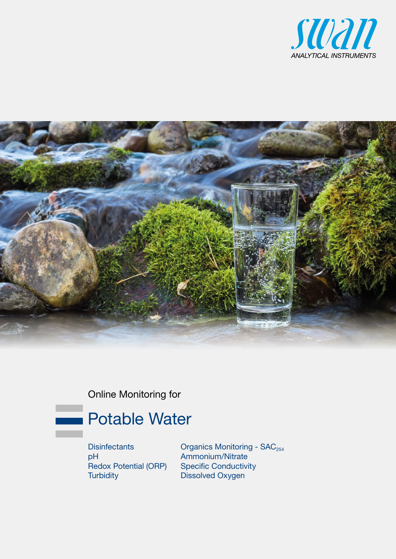



Online Monitoring for



**Disinfectants** pH Redox Potential (ORP) **Turbidity** 

Organics Monitoring - SAC<sub>254</sub> Ammonium/Nitrate Specific Conductivity Dissolved Oxygen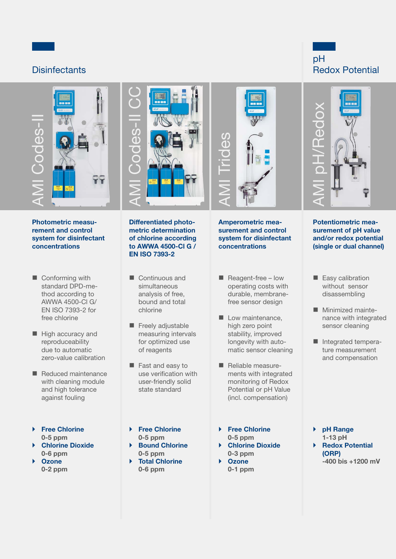# **Disinfectants**



Photometric measurement and control system for disinfectant concentrations

- Conforming with standard DPD-method according to AWWA 4500-Cl G/ EN ISO 7393-2 for free chlorine
- $\blacksquare$  High accuracy and reproduceability due to automatic zero-value calibration
- Reduced maintenance with cleaning module and high tolerance against fouling
- ▶ Free Chlorine 0-5 ppm
- ▶ Chlorine Dioxide 0-6 ppm
- **Ozone** 0-2 ppm



Differentiated photometric determination of chlorine according to AWWA 4500-Cl G / EN ISO 7393-2

- Continuous and simultaneous analysis of free, bound and total chlorine
- Freely adjustable measuring intervals for optimized use of reagents
- **Fast and easy to** use verification with user-friendly solid state standard
- ▶ Free Chlorine 0-5 ppm
- ▶ Bound Chlorine 0-5 ppm
- ▶ Total Chlorine 0-6 ppm



Amperometric measurement and control system for disinfectant concentrations

- $\blacksquare$  Reagent-free low operating costs with durable, membranefree sensor design
- Low maintenance, high zero point stability, improved longevity with automatic sensor cleaning
- Reliable measurements with integrated monitoring of Redox Potential or pH Value (incl. compensation)
- ▶ Free Chlorine 0-5 ppm } Chlorine Dioxide
- 0-3 ppm **Ozone**
- 0-1 ppm





Potentiometric measurement of pH value and/or redox potential (single or dual channel)

- Easy calibration without sensor disassembling
- **Minimized mainte**nance with integrated sensor cleaning
- Integrated temperature measurement and compensation

- } pH Range 1-13 pH ▶ Redox Potential (ORP)
	- -400 bis +1200 mV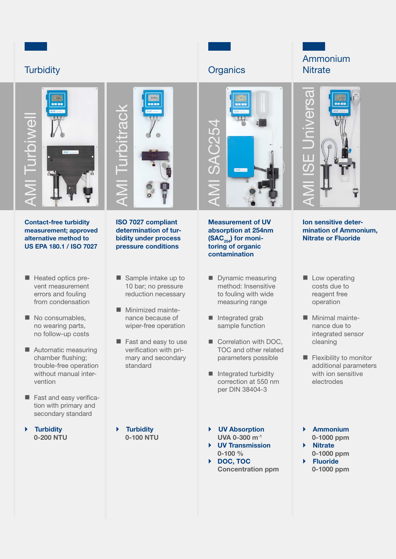# **Turbidity**



Contact-free turbidity measurement; approved alternative method to US EPA 180.1 / ISO 7027

- Heated optics prevent measurement errors and fouling from condensation
- No consumables, no wearing parts, no follow-up costs
- **Automatic measuring** chamber flushing; trouble-free operation without manual intervention
- Fast and easy verification with primary and secondary standard

} Turbidity 0-200 NTU



ISO 7027 compliant determination of turbidity under process pressure conditions

- Sample intake up to 10 bar; no pressure reduction necessary
- **Minimized mainte**nance because of wiper-free operation
- Fast and easy to use verification with primary and secondary standard

**Turbidity** 0-100 NTU



# AMI SAC254

Measurement of UV absorption at 254nm  $(SAC_{254})$  for monitoring of organic contamination

- Dynamic measuring method: Insensitive to fouling with wide measuring range
- Integrated grab sample function
- Correlation with DOC, TOC and other related parameters possible
- Integrated turbidity correction at 550 nm per DIN 38404-3
- } UV Absorption UVA 0-300 m-1
- **UV Transmission** 0-100 %
- ▶ DOC, TOC Concentration ppm





Ion sensitive determination of Ammonium,

- **Low operating** costs due to reagent free operation
- **Minimal mainte**nance due to integrated sensor cleaning
- **Flexibility to monitor** additional parameters with ion sensitive electrodes
- } Ammonium 0-1000 ppm **Nitrate**
- 0-1000 ppm **Fluoride** 0-1000 ppm

Nitrate or Fluoride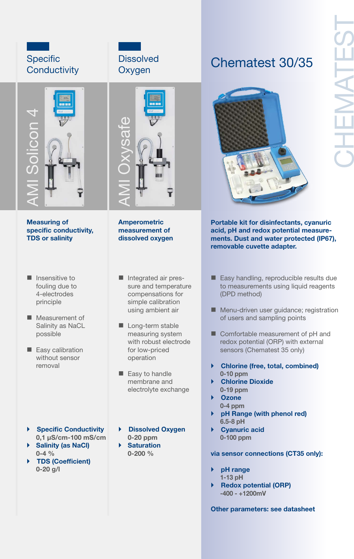# **Specific Conductivity**



Measuring of specific conductivity, TDS or salinity

- $\blacksquare$  Insensitive to fouling due to 4-electrodes principle
- **Measurement of** Salinity as NaCL possible
- Easy calibration without sensor removal
- ▶ Specific Conductivity 0,1 µS/cm-100 mS/cm
- ▶ Salinity (as NaCl) 0-4 % } TDS (Coefficient)
- $0 20$  g/l





Amperometric measurement of dissolved oxygen

- Integrated air pressure and temperature compensations for simple calibration using ambient air
- Long-term stable measuring system with robust electrode for low-priced operation
- Easy to handle membrane and electrolyte exchange
- **Dissolved Oxygen** 0-20 ppm **Saturation** 0-200 %

# Chematest 30/35



Portable kit for disinfectants, cyanuric acid, pH and redox potential measurements. Dust and water protected (IP67), removable cuvette adapter.

- Easy handling, reproducible results due to measurements using liquid reagents (DPD method)
- **Menu-driven user guidance; registration** of users and sampling points
- Comfortable measurement of pH and redox potential (ORP) with external sensors (Chematest 35 only)
- } Chlorine (free, total, combined) 0-10 ppm
- **Chlorine Dioxide** 0-19 ppm
- } Ozone 0-4 ppm
- pH Range (with phenol red) 6.5-8 pH
- ▶ Cyanuric acid 0-100 ppm

via sensor connections (CT35 only):

- pH range 1-13 pH
- } Redox potential (ORP) -400 - +1200mV

Other parameters: see datasheet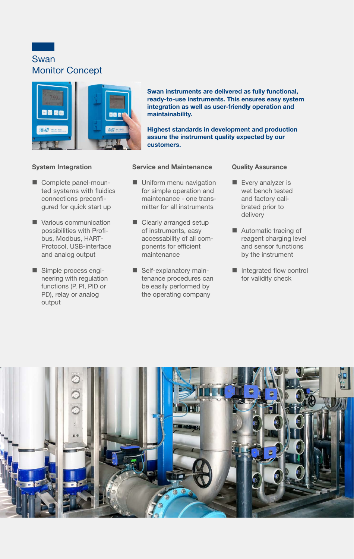Swan Monitor Concept

System Integration

Complete panel-moun-

connections preconfi-

Various communication possibilities with Profibus, Modbus, HART-Protocol, USB-interface and analog output

Simple process engineering with regulation functions (P, PI, PID or PD), relay or analog

output



Swan instruments are delivered as fully functional, ready-to-use instruments. This ensures easy system integration as well as user-friendly operation and maintainability.

Highest standards in development and production assure the instrument quality expected by our customers.

## Service and Maintenance

- ted systems with fluidics gured for quick start up **Uniform menu navigation** for simple operation and maintenance - one transmitter for all instruments
	- Clearly arranged setup of instruments, easy accessability of all components for efficient maintenance
	- Self-explanatory maintenance procedures can be easily performed by the operating company

## Quality Assurance

- Every analyzer is wet bench tested and factory calibrated prior to delivery
- Automatic tracing of reagent charging level and sensor functions by the instrument
- Integrated flow control for validity check